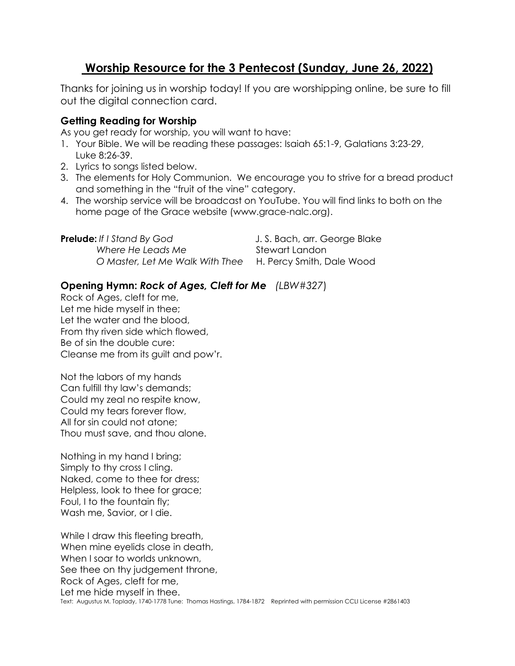# **Worship Resource for the 3 Pentecost (Sunday, June 26, 2022)**

Thanks for joining us in worship today! If you are worshipping online, be sure to fill out the digital connection card.

## **Getting Reading for Worship**

As you get ready for worship, you will want to have:

- 1. Your Bible. We will be reading these passages: Isaiah 65:1-9, Galatians 3:23-29, Luke 8:26-39.
- 2. Lyrics to songs listed below.
- 3. The elements for Holy Communion. We encourage you to strive for a bread product and something in the "fruit of the vine" category.
- 4. The worship service will be broadcast on YouTube. You will find links to both on the home page of the Grace website (www.grace-nalc.org).

| <b>Prelude:</b> If I Stand By God                         | J. S. Bach, arr. George Blake |
|-----------------------------------------------------------|-------------------------------|
| Where He Leads Me                                         | Stewart Landon                |
| O Master, Let Me Walk With Thee H. Percy Smith, Dale Wood |                               |

# **Opening Hymn:** *Rock of Ages, Cleft for Me (LBW#327*)

Rock of Ages, cleft for me, Let me hide myself in thee; Let the water and the blood, From thy riven side which flowed, Be of sin the double cure: Cleanse me from its guilt and pow'r.

Not the labors of my hands Can fulfill thy law's demands; Could my zeal no respite know, Could my tears forever flow, All for sin could not atone; Thou must save, and thou alone.

Nothing in my hand I bring; Simply to thy cross I cling. Naked, come to thee for dress; Helpless, look to thee for grace; Foul, I to the fountain fly; Wash me, Savior, or I die.

While I draw this fleeting breath, When mine eyelids close in death, When I soar to worlds unknown, See thee on thy judgement throne, Rock of Ages, cleft for me, Let me hide myself in thee. Text: Augustus M. Toplady, 1740-1778 Tune: Thomas Hastings, 1784-1872 Reprinted with permission CCLI License #2861403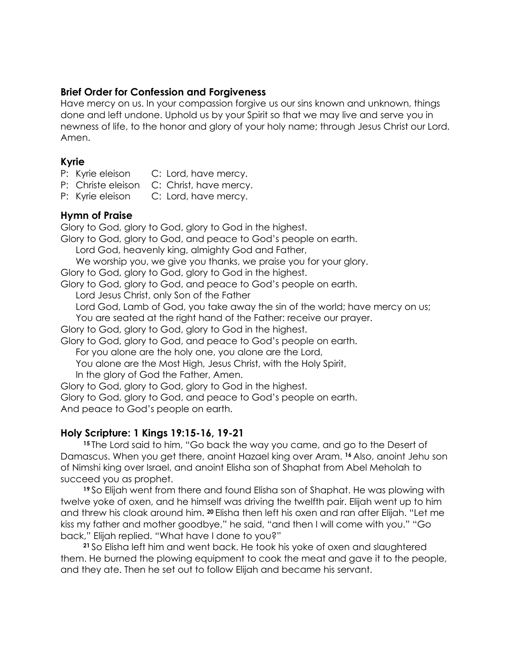## **Brief Order for Confession and Forgiveness**

Have mercy on us. In your compassion forgive us our sins known and unknown, things done and left undone. Uphold us by your Spirit so that we may live and serve you in newness of life, to the honor and glory of your holy name; through Jesus Christ our Lord. Amen.

## **Kyrie**

- P: Kyrie eleison C: Lord, have mercy.
- P: Christe eleison C: Christ, have mercy.
- P: Kyrie eleison C: Lord, have mercy.

#### **Hymn of Praise**

Glory to God, glory to God, glory to God in the highest.

Glory to God, glory to God, and peace to God's people on earth.

Lord God, heavenly king, almighty God and Father,

We worship you, we give you thanks, we praise you for your glory.

Glory to God, glory to God, glory to God in the highest.

Glory to God, glory to God, and peace to God's people on earth.

Lord Jesus Christ, only Son of the Father

Lord God, Lamb of God, you take away the sin of the world; have mercy on us;

You are seated at the right hand of the Father: receive our prayer.

Glory to God, glory to God, glory to God in the highest.

Glory to God, glory to God, and peace to God's people on earth.

For you alone are the holy one, you alone are the Lord,

You alone are the Most High, Jesus Christ, with the Holy Spirit,

In the glory of God the Father, Amen.

Glory to God, glory to God, glory to God in the highest.

Glory to God, glory to God, and peace to God's people on earth. And peace to God's people on earth.

## **Holy Scripture: 1 Kings 19:15-16, 19-21**

**<sup>15</sup>** The Lord said to him, "Go back the way you came, and go to the Desert of Damascus. When you get there, anoint Hazael king over Aram. **<sup>16</sup>** Also, anoint Jehu son of Nimshi king over Israel, and anoint Elisha son of Shaphat from Abel Meholah to succeed you as prophet.

**<sup>19</sup>** So Elijah went from there and found Elisha son of Shaphat. He was plowing with twelve yoke of oxen, and he himself was driving the twelfth pair. Elijah went up to him and threw his cloak around him. **<sup>20</sup>** Elisha then left his oxen and ran after Elijah. "Let me kiss my father and mother goodbye," he said, "and then I will come with you." "Go back," Elijah replied. "What have I done to you?"

**<sup>21</sup>** So Elisha left him and went back. He took his yoke of oxen and slaughtered them. He burned the plowing equipment to cook the meat and gave it to the people, and they ate. Then he set out to follow Elijah and became his servant.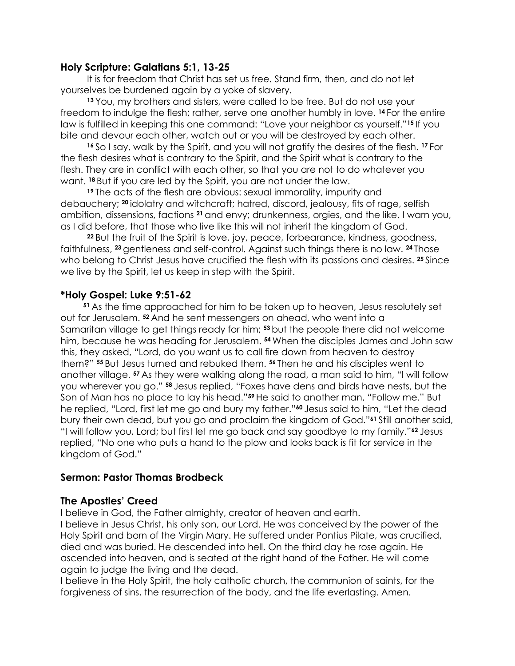#### **Holy Scripture: Galatians 5:1, 13-25**

It is for freedom that Christ has set us free. Stand firm, then, and do not let yourselves be burdened again by a yoke of slavery.

**<sup>13</sup>** You, my brothers and sisters, were called to be free. But do not use your freedom to indulge the flesh; rather, serve one another humbly in love. **<sup>14</sup>** For the entire law is fulfilled in keeping this one command: "Love your neighbor as yourself."**<sup>15</sup>** If you bite and devour each other, watch out or you will be destroyed by each other.

**<sup>16</sup>** So I say, walk by the Spirit, and you will not gratify the desires of the flesh. **<sup>17</sup>** For the flesh desires what is contrary to the Spirit, and the Spirit what is contrary to the flesh. They are in conflict with each other, so that you are not to do whatever you want. **<sup>18</sup>** But if you are led by the Spirit, you are not under the law.

**<sup>19</sup>** The acts of the flesh are obvious: sexual immorality, impurity and debauchery; **<sup>20</sup>** idolatry and witchcraft; hatred, discord, jealousy, fits of rage, selfish ambition, dissensions, factions **<sup>21</sup>** and envy; drunkenness, orgies, and the like. I warn you, as I did before, that those who live like this will not inherit the kingdom of God.

**<sup>22</sup>** But the fruit of the Spirit is love, joy, peace, forbearance, kindness, goodness, faithfulness, **<sup>23</sup>** gentleness and self-control. Against such things there is no law. **<sup>24</sup>** Those who belong to Christ Jesus have crucified the flesh with its passions and desires. 25 Since we live by the Spirit, let us keep in step with the Spirit.

#### **\*Holy Gospel: Luke 9:51-62**

**<sup>51</sup>** As the time approached for him to be taken up to heaven, Jesus resolutely set out for Jerusalem. **<sup>52</sup>** And he sent messengers on ahead, who went into a Samaritan village to get things ready for him; **<sup>53</sup>** but the people there did not welcome him, because he was heading for Jerusalem. **<sup>54</sup>** When the disciples James and John saw this, they asked, "Lord, do you want us to call fire down from heaven to destroy them?" **<sup>55</sup>** But Jesus turned and rebuked them. **<sup>56</sup>** Then he and his disciples went to another village. **<sup>57</sup>** As they were walking along the road, a man said to him, "I will follow you wherever you go." **<sup>58</sup>** Jesus replied, "Foxes have dens and birds have nests, but the Son of Man has no place to lay his head."**<sup>59</sup>** He said to another man, "Follow me." But he replied, "Lord, first let me go and bury my father."**<sup>60</sup>** Jesus said to him, "Let the dead bury their own dead, but you go and proclaim the kingdom of God."**<sup>61</sup>** Still another said, "I will follow you, Lord; but first let me go back and say goodbye to my family."**<sup>62</sup>** Jesus replied, "No one who puts a hand to the plow and looks back is fit for service in the kingdom of God."

#### **Sermon: Pastor Thomas Brodbeck**

#### **The Apostles' Creed**

I believe in God, the Father almighty, creator of heaven and earth.

I believe in Jesus Christ, his only son, our Lord. He was conceived by the power of the Holy Spirit and born of the Virgin Mary. He suffered under Pontius Pilate, was crucified, died and was buried. He descended into hell. On the third day he rose again. He ascended into heaven, and is seated at the right hand of the Father. He will come again to judge the living and the dead.

I believe in the Holy Spirit, the holy catholic church, the communion of saints, for the forgiveness of sins, the resurrection of the body, and the life everlasting. Amen.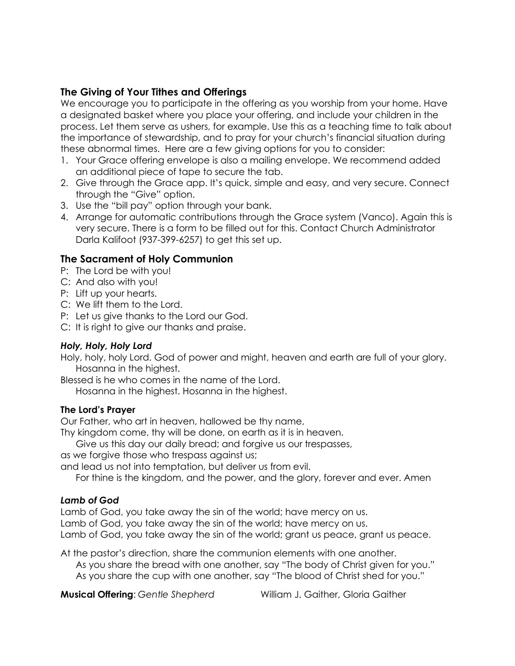## **The Giving of Your Tithes and Offerings**

We encourage you to participate in the offering as you worship from your home. Have a designated basket where you place your offering, and include your children in the process. Let them serve as ushers, for example. Use this as a teaching time to talk about the importance of stewardship, and to pray for your church's financial situation during these abnormal times. Here are a few giving options for you to consider:

- 1. Your Grace offering envelope is also a mailing envelope. We recommend added an additional piece of tape to secure the tab.
- 2. Give through the Grace app. It's quick, simple and easy, and very secure. Connect through the "Give" option.
- 3. Use the "bill pay" option through your bank.
- 4. Arrange for automatic contributions through the Grace system (Vanco). Again this is very secure. There is a form to be filled out for this. Contact Church Administrator Darla Kalifoot (937-399-6257) to get this set up.

## **The Sacrament of Holy Communion**

- P: The Lord be with you!
- C: And also with you!
- P: Lift up your hearts.
- C: We lift them to the Lord.
- P: Let us give thanks to the Lord our God.
- C: It is right to give our thanks and praise.

#### *Holy, Holy, Holy Lord*

Holy, holy, holy Lord. God of power and might, heaven and earth are full of your glory. Hosanna in the highest.

Blessed is he who comes in the name of the Lord.

Hosanna in the highest. Hosanna in the highest.

#### **The Lord's Prayer**

Our Father, who art in heaven, hallowed be thy name,

Thy kingdom come, thy will be done, on earth as it is in heaven.

Give us this day our daily bread; and forgive us our trespasses,

as we forgive those who trespass against us;

and lead us not into temptation, but deliver us from evil.

For thine is the kingdom, and the power, and the glory, forever and ever. Amen

#### *Lamb of God*

Lamb of God, you take away the sin of the world; have mercy on us. Lamb of God, you take away the sin of the world; have mercy on us. Lamb of God, you take away the sin of the world; grant us peace, grant us peace.

At the pastor's direction, share the communion elements with one another. As you share the bread with one another, say "The body of Christ given for you." As you share the cup with one another, say "The blood of Christ shed for you."

**Musical Offering**: *Gentle Shepherd* William J. Gaither, Gloria Gaither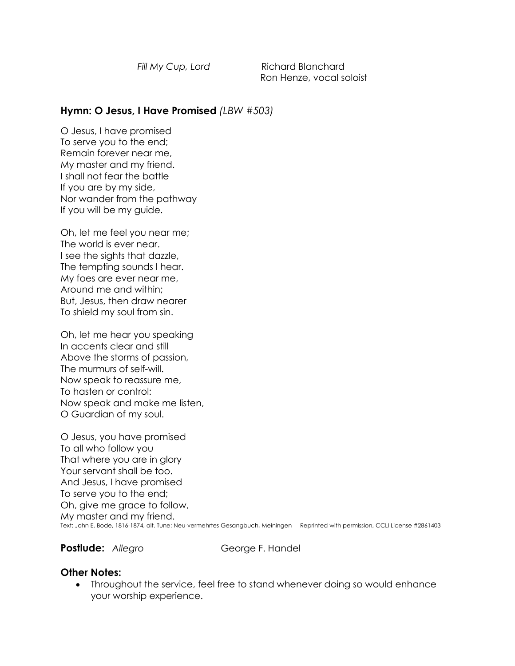*Fill My Cup, Lord* **Richard Blanchard** Ron Henze, vocal soloist

### **Hymn: O Jesus, I Have Promised** *(LBW #503)*

O Jesus, I have promised To serve you to the end; Remain forever near me, My master and my friend. I shall not fear the battle If you are by my side, Nor wander from the pathway If you will be my guide.

Oh, let me feel you near me; The world is ever near. I see the sights that dazzle, The tempting sounds I hear. My foes are ever near me, Around me and within; But, Jesus, then draw nearer To shield my soul from sin.

Oh, let me hear you speaking In accents clear and still Above the storms of passion, The murmurs of self-will. Now speak to reassure me, To hasten or control: Now speak and make me listen, O Guardian of my soul.

O Jesus, you have promised To all who follow you That where you are in glory Your servant shall be too. And Jesus, I have promised To serve you to the end; Oh, give me grace to follow, My master and my friend. Text: John E. Bode, 1816-1874, alt. Tune: Neu-vermehrtes Gesangbuch, Meiningen Reprinted with permission, CCLI License #2861403

**Postlude:** Allegro **George F. Handel** 

#### **Other Notes:**

• Throughout the service, feel free to stand whenever doing so would enhance your worship experience.